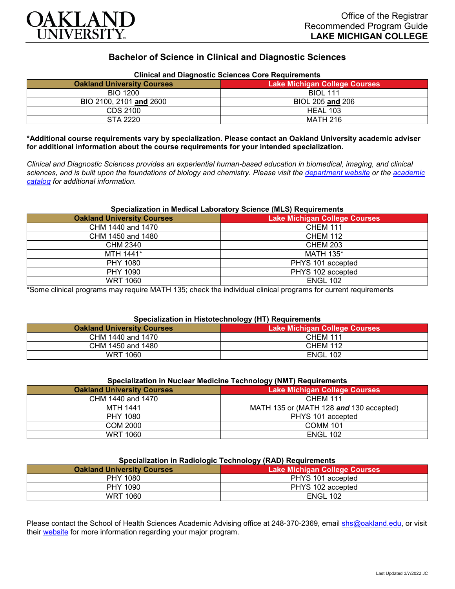

# **Bachelor of Science in Clinical and Diagnostic Sciences**

| Clinical and Diagnostic Sciences Core Requirements |                                      |
|----------------------------------------------------|--------------------------------------|
| <b>Oakland University Courses</b>                  | <b>Lake Michigan College Courses</b> |
| <b>BIO 1200</b>                                    | <b>BIOL 111</b>                      |
| BIO 2100, 2101 and 2600                            | BIOL 205 and 206                     |
| CDS 2100                                           | HEAL 103                             |
| STA 2220                                           | MATH 216                             |

# **Clinical and Diagnostic Sciences Core Requirements**

**\*Additional course requirements vary by specialization. Please contact an Oakland University academic adviser for additional information about the course requirements for your intended specialization.**

*Clinical and Diagnostic Sciences provides an experiential human-based education in biomedical, imaging, and clinical sciences, and is built upon the foundations of biology and chemistry. Please visit the [department website](https://www.oakland.edu/shs/clinical-and-diagnostic-sciences/) or the [academic](http://catalog.oakland.edu/preview_program.php?catoid=53&poid=8663)  [catalog](http://catalog.oakland.edu/preview_program.php?catoid=53&poid=8663) for additional information.*

### **Specialization in Medical Laboratory Science (MLS) Requirements**

| <b>Oakland University Courses</b> | <b>Lake Michigan College Courses</b> |
|-----------------------------------|--------------------------------------|
| CHM 1440 and 1470                 | <b>CHEM 111</b>                      |
| CHM 1450 and 1480                 | <b>CHEM 112</b>                      |
| CHM 2340                          | <b>CHEM 203</b>                      |
| MTH 1441*                         | <b>MATH 135*</b>                     |
| PHY 1080                          | PHYS 101 accepted                    |
| PHY 1090                          | PHYS 102 accepted                    |
| <b>WRT 1060</b>                   | <b>ENGL 102</b>                      |

\*Some clinical programs may require MATH 135; check the individual clinical programs for current requirements

# **Specialization in Histotechnology (HT) Requirements**

| <b>Oakland University Courses</b> | .<br>Lake Michigan College Courses |
|-----------------------------------|------------------------------------|
| CHM 1440 and 1470                 | <b>CHEM 111</b>                    |
| CHM 1450 and 1480                 | <b>CHEM 112</b>                    |
| WRT 1060                          | <b>ENGL 102</b>                    |

| Specialization in Nuclear Medicine Technology (NMT) Requirements |                                         |
|------------------------------------------------------------------|-----------------------------------------|
| <b>Oakland University Courses</b>                                | <b>Lake Michigan College Courses</b>    |
| CHM 1440 and 1470                                                | <b>CHEM 111</b>                         |
| <b>MTH 1441</b>                                                  | MATH 135 or (MATH 128 and 130 accepted) |
| PHY 1080                                                         | PHYS 101 accepted                       |
| <b>COM 2000</b>                                                  | <b>COMM 101</b>                         |
| WRT 1060                                                         | <b>ENGL 102</b>                         |

| Specialization in Radiologic Technology (RAD) Requirements |                             |
|------------------------------------------------------------|-----------------------------|
| kland Universitv Courses                                   | Lake Michigan College Cours |

| <b>Oakland University Courses</b> | Lake Michigan College Courses |
|-----------------------------------|-------------------------------|
| <b>PHY 1080</b>                   | PHYS 101 accepted             |
| <b>PHY 1090</b>                   | PHYS 102 accepted             |
| <b>WRT 1060</b>                   | <b>ENGL 102</b>               |

Please contact the School of Health Sciences Academic Advising office at 248-370-2369, email [shs@oakland.edu,](mailto:shs@oakland.edu) or visit their [website](http://www.oakland.edu/shs/advising) for more information regarding your major program.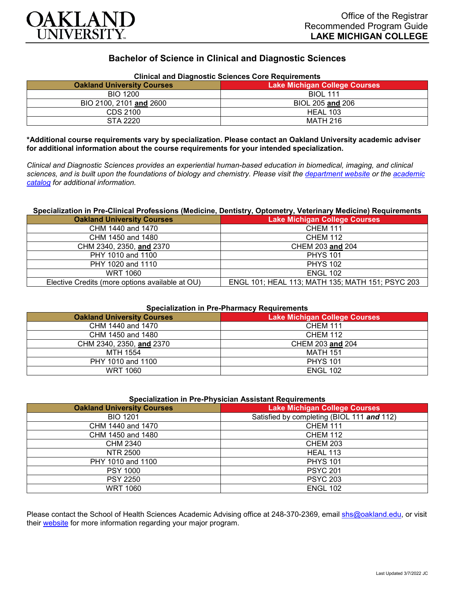

# **Bachelor of Science in Clinical and Diagnostic Sciences**

| <b>Clinical and Diagnostic Sciences Core Requirements</b> |                                      |
|-----------------------------------------------------------|--------------------------------------|
| <b>Oakland University Courses</b>                         | <b>Lake Michigan College Courses</b> |
| <b>BIO 1200</b>                                           | <b>BIOL 111</b>                      |
| BIO 2100, 2101 and 2600                                   | BIOL 205 and 206                     |
| CDS 2100                                                  | HEAL 103                             |
| STA 2220                                                  | <b>MATH 216</b>                      |

**\*Additional course requirements vary by specialization. Please contact an Oakland University academic adviser for additional information about the course requirements for your intended specialization.**

*Clinical and Diagnostic Sciences provides an experiential human-based education in biomedical, imaging, and clinical sciences, and is built upon the foundations of biology and chemistry. Please visit the [department website](https://www.oakland.edu/shs/clinical-and-diagnostic-sciences/) or the [academic](http://catalog.oakland.edu/preview_program.php?catoid=53&poid=8663)  [catalog](http://catalog.oakland.edu/preview_program.php?catoid=53&poid=8663) for additional information.*

#### **Specialization in Pre-Clinical Professions (Medicine, Dentistry, Optometry, Veterinary Medicine) Requirements**

| <b>Oakland University Courses</b>               | <b>Lake Michigan College Courses</b>             |
|-------------------------------------------------|--------------------------------------------------|
| CHM 1440 and 1470                               | <b>CHEM 111</b>                                  |
| CHM 1450 and 1480                               | <b>CHEM 112</b>                                  |
| CHM 2340, 2350, and 2370                        | CHEM 203 and 204                                 |
| PHY 1010 and 1100                               | <b>PHYS 101</b>                                  |
| PHY 1020 and 1110                               | <b>PHYS 102</b>                                  |
| WRT 1060                                        | <b>ENGL 102</b>                                  |
| Elective Credits (more options available at OU) | ENGL 101; HEAL 113; MATH 135; MATH 151; PSYC 203 |

### **Specialization in Pre-Pharmacy Requirements**

| <b>Oakland University Courses</b> | <b>Lake Michigan College Courses</b> |
|-----------------------------------|--------------------------------------|
| CHM 1440 and 1470                 | CHEM 111                             |
| CHM 1450 and 1480                 | <b>CHEM 112</b>                      |
| CHM 2340, 2350, and 2370          | CHEM 203 and 204                     |
| MTH 1554                          | <b>MATH 151</b>                      |
| PHY 1010 and 1100                 | <b>PHYS 101</b>                      |
| WRT 1060                          | <b>ENGL 102</b>                      |

#### **Specialization in Pre-Physician Assistant Requirements**

| <b>Oakland University Courses</b> | <b>Lake Michigan College Courses</b>       |
|-----------------------------------|--------------------------------------------|
| <b>BIO 1201</b>                   | Satisfied by completing (BIOL 111 and 112) |
| CHM 1440 and 1470                 | <b>CHEM 111</b>                            |
| CHM 1450 and 1480                 | <b>CHEM 112</b>                            |
| CHM 2340                          | <b>CHEM 203</b>                            |
| NTR 2500                          | <b>HEAL 113</b>                            |
| PHY 1010 and 1100                 | <b>PHYS 101</b>                            |
| <b>PSY 1000</b>                   | <b>PSYC 201</b>                            |
| <b>PSY 2250</b>                   | <b>PSYC 203</b>                            |
| <b>WRT 1060</b>                   | <b>ENGL 102</b>                            |

Please contact the School of Health Sciences Academic Advising office at 248-370-2369, email [shs@oakland.edu,](mailto:shs@oakland.edu) or visit their [website](http://www.oakland.edu/shs/advising) for more information regarding your major program.